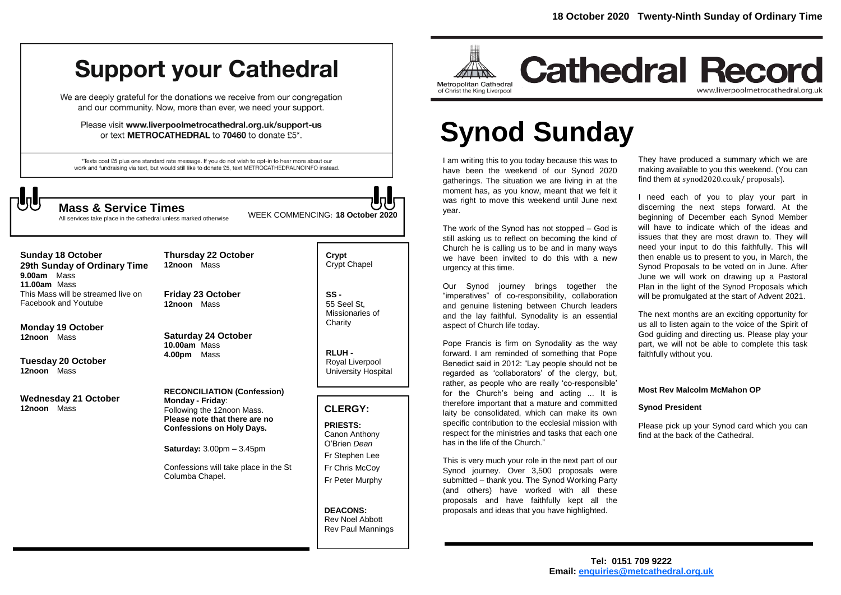# **Support your Cathedral**

We are deeply grateful for the donations we receive from our congregation and our community. Now, more than ever, we need your support.

Please visit www.liverpoolmetrocathedral.org.uk/support-us or text METROCATHEDRAL to 70460 to donate £5\*.

\*Texts cost £5 plus one standard rate message. If you do not wish to opt-in to hear more about our work and fundraising via text, but would still like to donate £5, text METROCATHEDRALNOINFO instead.



All services take place in the cathedral unless marked otherwise

WEEK COMMENCING: **<sup>18</sup> October <sup>2020</sup> Mass & Service Times**

**Sunday 18 October** 

**29th Sunday of Ordinary Time 9.00am** Mass **11.00am** Mass This Mass will be streamed live on Facebook and Youtube

**Monday 19 October 12noon** Mass

**Tuesday 20 October 12noon** Mass

**Wednesday 21 October 12noon** Mass

**12noon** Mass **Friday 23 October**

**12noon** Mass

**4.00pm** Mass

**Thursday 22 October** 

**Saturday 24 October 10.00am** Mass

**RECONCILIATION (Confession) Monday - Friday**: Following the 12noon Mass. **Please note that there are no Confessions on Holy Days.**

**Saturday:** 3.00pm – 3.45pm

Confessions will take place in the St Columba Chapel.

**Crypt**  Crypt Chapel

**SS -** 55 Seel St, Missionaries of **Charity** 

**RLUH -** Royal Liverpool University Hospital

## **CLERGY:**

**PRIESTS:** Canon Anthony O'Brien *Dean* Fr Stephen Lee Fr Chris McCoy Fr Peter Murphy

**DEACONS:** Rev Noel Abbott Rev Paul Mannings



# **Cathedral Record** www.liverpoolmetrocathedral.org.uk

# **Synod Sunday**

I am writing this to you today because this was to have been the weekend of our Synod 2020 gatherings. The situation we are living in at the moment has, as you know, meant that we felt it was right to move this weekend until June next year.

The work of the Synod has not stopped – God is still asking us to reflect on becoming the kind of Church he is calling us to be and in many ways we have been invited to do this with a new urgency at this time.

Our Synod journey brings together the "imperatives" of co-responsibility, collaboration and genuine listening between Church leaders and the lay faithful. Synodality is an essential aspect of Church life today.

Pope Francis is firm on Synodality as the way forward. I am reminded of something that Pope Benedict said in 2012: "Lay people should not be regarded as 'collaborators' of the clergy, but, rather, as people who are really 'co-responsible' for the Church's being and acting ... It is therefore important that a mature and committed laity be consolidated, which can make its own specific contribution to the ecclesial mission with respect for the ministries and tasks that each one has in the life of the Church."

This is very much your role in the next part of our Synod journey. Over 3,500 proposals were submitted – thank you. The Synod Working Party (and others) have worked with all these proposals and have faithfully kept all the proposals and ideas that you have highlighted.

They have produced a summary which we are making available to you this weekend. (You can find them at synod2020.co.uk/ proposals).

I need each of you to play your part in discerning the next steps forward. At the beginning of December each Synod Member will have to indicate which of the ideas and issues that they are most drawn to. They will need your input to do this faithfully. This will then enable us to present to you, in March, the Synod Proposals to be voted on in June. After June we will work on drawing up a Pastoral Plan in the light of the Synod Proposals which will be promulgated at the start of Advent 2021.

The next months are an exciting opportunity for us all to listen again to the voice of the Spirit of God guiding and directing us. Please play your part, we will not be able to complete this task faithfully without you.

#### **Most Rev Malcolm McMahon OP**

#### **Synod President**

Please pick up your Synod card which you can find at the back of the Cathedral.